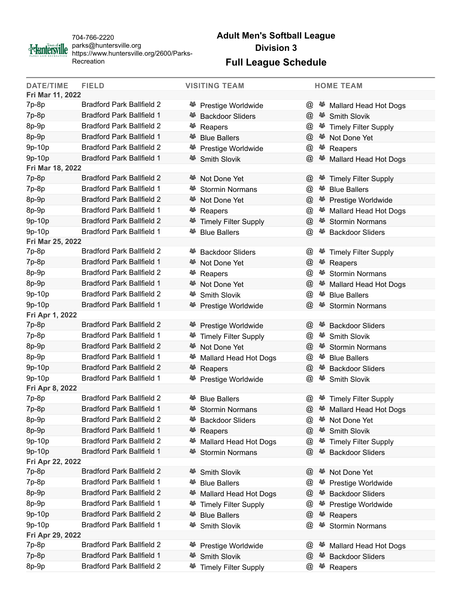

704-766-2220 parks@huntersville.org https://www.huntersville.org/2600/Parks-Recreation

## **Adult Men's Softball League Division 3**

## **Full League Schedule**

| <b>DATE/TIME</b>                                                                           | <b>FIELD</b>                     |    | <b>VISITING TEAM</b>                         |                      | <b>HOME TEAM</b>                                 |  |  |
|--------------------------------------------------------------------------------------------|----------------------------------|----|----------------------------------------------|----------------------|--------------------------------------------------|--|--|
| Fri Mar 11, 2022<br>7p-8p<br><b>Bradford Park Ballfield 2</b><br>-85                       |                                  |    |                                              |                      |                                                  |  |  |
| 7p-8p                                                                                      | <b>Bradford Park Ballfield 1</b> | 43 | <sup>28</sup> Prestige Worldwide             | $\omega$<br>@        | Mallard Head Hot Dogs<br>-25                     |  |  |
| 8p-9p                                                                                      | <b>Bradford Park Ballfield 2</b> |    | <b>Backdoor Sliders</b>                      | @                    | <b>Smith Slovik</b>                              |  |  |
| 8p-9p                                                                                      | <b>Bradford Park Ballfield 1</b> | 答  | <sup>25</sup> Reapers<br><b>Blue Ballers</b> | $^{\textregistered}$ | <b>Timely Filter Supply</b><br>答<br>Not Done Yet |  |  |
| 9p-10p                                                                                     | <b>Bradford Park Ballfield 2</b> | 43 |                                              |                      | 45                                               |  |  |
| 9p-10p                                                                                     | <b>Bradford Park Ballfield 1</b> |    | Prestige Worldwide                           | @                    | Reapers                                          |  |  |
| Fri Mar 18, 2022                                                                           |                                  |    | <b>Smith Slovik</b>                          | @                    | 43<br>Mallard Head Hot Dogs                      |  |  |
| 7p-8p                                                                                      | <b>Bradford Park Ballfield 2</b> |    | <b><sup>25</sup></b> Not Done Yet            | $^{\textregistered}$ | <sup>25</sup> Timely Filter Supply               |  |  |
| $7p-8p$                                                                                    | <b>Bradford Park Ballfield 1</b> |    | <b>Stormin Normans</b>                       | $^{\textregistered}$ | 43<br><b>Blue Ballers</b>                        |  |  |
| 8p-9p                                                                                      | <b>Bradford Park Ballfield 2</b> | 43 | Not Done Yet                                 | $^{\textregistered}$ | <sup>25</sup> Prestige Worldwide                 |  |  |
| 8p-9p                                                                                      | <b>Bradford Park Ballfield 1</b> | 谷  | Reapers                                      | @                    | 43<br>Mallard Head Hot Dogs                      |  |  |
| 9p-10p                                                                                     | <b>Bradford Park Ballfield 2</b> |    | <sup>25</sup> Timely Filter Supply           | @                    | 43<br><b>Stormin Normans</b>                     |  |  |
| 9p-10p                                                                                     | <b>Bradford Park Ballfield 1</b> | 45 |                                              |                      | 43                                               |  |  |
| $^{\textregistered}$<br><b>Blue Ballers</b><br><b>Backdoor Sliders</b><br>Fri Mar 25, 2022 |                                  |    |                                              |                      |                                                  |  |  |
| $7p-8p$                                                                                    | <b>Bradford Park Ballfield 2</b> | 45 | <b>Backdoor Sliders</b>                      | @                    | 43<br><b>Timely Filter Supply</b>                |  |  |
| 7p-8p                                                                                      | <b>Bradford Park Ballfield 1</b> |    | Not Done Yet                                 | @                    | 45<br>Reapers                                    |  |  |
| 8p-9p                                                                                      | <b>Bradford Park Ballfield 2</b> |    | <sup>28</sup> Reapers                        | @                    | 43<br><b>Stormin Normans</b>                     |  |  |
| 8p-9p                                                                                      | <b>Bradford Park Ballfield 1</b> |    | <sup>25</sup> Not Done Yet                   | $\omega$             | 43<br>Mallard Head Hot Dogs                      |  |  |
| 9p-10p                                                                                     | <b>Bradford Park Ballfield 2</b> | 43 | <b>Smith Slovik</b>                          | $^{\textregistered}$ | 43<br><b>Blue Ballers</b>                        |  |  |
| 9p-10p                                                                                     | <b>Bradford Park Ballfield 1</b> |    | Prestige Worldwide                           | $^{\textregistered}$ | <b>Stormin Normans</b>                           |  |  |
| Fri Apr 1, 2022                                                                            |                                  |    |                                              |                      |                                                  |  |  |
| 7p-8p                                                                                      | <b>Bradford Park Ballfield 2</b> |    | Prestige Worldwide                           | @                    | 45<br><b>Backdoor Sliders</b>                    |  |  |
| 7p-8p                                                                                      | <b>Bradford Park Ballfield 1</b> |    | <sup>25</sup> Timely Filter Supply           | $^{\textregistered}$ | <sup>誉</sup> Smith Slovik                        |  |  |
| 8p-9p                                                                                      | <b>Bradford Park Ballfield 2</b> |    | <b><sup>25</sup></b> Not Done Yet            | $\omega$             | 45<br><b>Stormin Normans</b>                     |  |  |
| 8p-9p                                                                                      | <b>Bradford Park Ballfield 1</b> |    | Mallard Head Hot Dogs                        | @                    | 43<br><b>Blue Ballers</b>                        |  |  |
| 9p-10p                                                                                     | <b>Bradford Park Ballfield 2</b> |    | <sup>28</sup> Reapers                        | @                    | 43<br><b>Backdoor Sliders</b>                    |  |  |
| 9p-10p                                                                                     | <b>Bradford Park Ballfield 1</b> |    | Prestige Worldwide                           | @                    | 45<br>Smith Slovik                               |  |  |
| Fri Apr 8, 2022                                                                            |                                  |    |                                              |                      |                                                  |  |  |
| 7p-8p                                                                                      | <b>Bradford Park Ballfield 2</b> | 43 | <b>Blue Ballers</b>                          | $\omega$             | <sup>25</sup> Timely Filter Supply               |  |  |
| 7p-8p                                                                                      | <b>Bradford Park Ballfield 1</b> |    | <sup>25</sup> Stormin Normans                | $^{\textregistered}$ | <sup>25</sup> Mallard Head Hot Dogs              |  |  |
| 8p-9p                                                                                      | <b>Bradford Park Ballfield 2</b> |    | <b>Backdoor Sliders</b>                      | @                    | 43<br>Not Done Yet                               |  |  |
| 8p-9p                                                                                      | <b>Bradford Park Ballfield 1</b> |    | <b><sup>₩</sup></b> Reapers                  | @                    | 43<br><b>Smith Slovik</b>                        |  |  |
| 9p-10p                                                                                     | <b>Bradford Park Ballfield 2</b> | 43 | Mallard Head Hot Dogs                        | $^{\textregistered}$ | <b>Timely Filter Supply</b><br>45                |  |  |
| 9p-10p                                                                                     | <b>Bradford Park Ballfield 1</b> |    | <b>Stormin Normans</b>                       | $\omega$             | <b>Backdoor Sliders</b>                          |  |  |
| Fri Apr 22, 2022                                                                           |                                  |    |                                              |                      |                                                  |  |  |
| 7p-8p                                                                                      | <b>Bradford Park Ballfield 2</b> | œ, | <b>Smith Slovik</b>                          | $\omega$             | 43<br>Not Done Yet                               |  |  |
| 7p-8p                                                                                      | <b>Bradford Park Ballfield 1</b> | 43 | <b>Blue Ballers</b>                          | @                    | Prestige Worldwide<br>45                         |  |  |
| 8p-9p                                                                                      | <b>Bradford Park Ballfield 2</b> | æ, | Mallard Head Hot Dogs                        | $^{\textregistered}$ | 43<br><b>Backdoor Sliders</b>                    |  |  |
| 8p-9p                                                                                      | <b>Bradford Park Ballfield 1</b> | -8 | <b>Timely Filter Supply</b>                  | @                    | 43<br>Prestige Worldwide                         |  |  |
| 9p-10p                                                                                     | <b>Bradford Park Ballfield 2</b> | 43 | <b>Blue Ballers</b>                          | @                    | 43<br>Reapers                                    |  |  |
| 9p-10p                                                                                     | <b>Bradford Park Ballfield 1</b> | æ, | <b>Smith Slovik</b>                          | $\omega$             | 43<br><b>Stormin Normans</b>                     |  |  |
| Fri Apr 29, 2022                                                                           |                                  |    |                                              |                      |                                                  |  |  |
| 7p-8p                                                                                      | <b>Bradford Park Ballfield 2</b> |    | Prestige Worldwide                           | $\omega$             | Mallard Head Hot Dogs                            |  |  |
| 7p-8p                                                                                      | <b>Bradford Park Ballfield 1</b> | æ, | <b>Smith Slovik</b>                          | $^{\textregistered}$ | 43<br><b>Backdoor Sliders</b>                    |  |  |
| 8p-9p                                                                                      | <b>Bradford Park Ballfield 2</b> |    | <sup>25</sup> Timely Filter Supply           | @                    | 43<br>Reapers                                    |  |  |